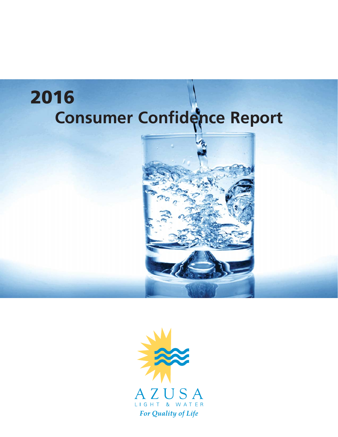# **Consumer Confidence Report 2016**



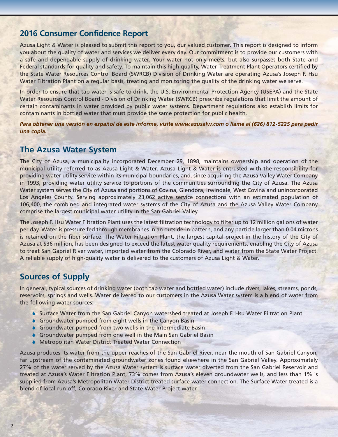## **2016 Consumer Confidence Report**

Azusa Light & Water is pleased to submit this report to you, our valued customer. This report is designed to inform you about the quality of water and services we deliver every day. Our commitment is to provide our customers with a safe and dependable supply of drinking water. Your water not only meets, but also surpasses both State and Federal standards for quality and safety. To maintain this high quality, Water Treatment Plant Operators certified by the State Water Resources Control Board (SWRCB) Division of Drinking Water are operating Azusa's Joseph F. Hsu Water Filtration Plant on a regular basis, treating and monitoring the quality of the drinking water we serve.

In order to ensure that tap water is safe to drink, the U.S. Environmental Protection Agency (USEPA) and the State Water Resources Control Board - Division of Drinking Water (SWRCB) prescribe regulations that limit the amount of certain contaminants in water provided by public water systems. Department regulations also establish limits for contaminants in bottled water that must provide the same protection for public health.

*Para obtener una versión en español de este informe, visite www.azusalw.com o llame al (626) 812-5225 para pedir una copia.*

#### **The Azusa Water System**

The City of Azusa, a municipality incorporated December 29, 1898, maintains ownership and operation of the municipal utility referred to as Azusa Light & Water. Azusa Light & Water is entrusted with the responsibility for providing water utility service within its municipal boundaries, and, since acquiring the Azusa Valley Water Company in 1993, providing water utility service to portions of the communities surrounding the City of Azusa. The Azusa Water system serves the City of Azusa and portions of Covina, Glendora, Irwindale, West Covina and unincorporated Los Angeles County. Serving approximately 23,062 active service connections with an estimated population of 106,400, the combined and integrated water systems of the City of Azusa and the Azusa Valley Water Company comprise the largest municipal water utility in the San Gabriel Valley.

The Joseph F. Hsu Water Filtration Plant uses the latest filtration technology to filter up to 12 million gallons of water per day. Water is pressure fed through membranes in an outside-in pattern, and any particle larger than 0.04 microns is retained on the fiber surface. The Water Filtration Plant, the largest capital project in the history of the City of Azusa at \$36 million, has been designed to exceed the latest water quality requirements, enabling the City of Azusa to treat San Gabriel River water, imported water from the Colorado River, and water from the State Water Project. A reliable supply of high-quality water is delivered to the customers of Azusa Light & Water.

### **Sources of Supply**

In general, typical sources of drinking water (both tap water and bottled water) include rivers, lakes, streams, ponds, reservoirs, springs and wells. Water delivered to our customers in the Azusa Water system is a blend of water from the following water sources:

- ♦ Surface Water from the San Gabriel Canyon watershed treated at Joseph F. Hsu Water Filtration Plant
- $\bullet$  Groundwater pumped from eight wells in the Canyon Basin
- $\bullet$  Groundwater pumped from two wells in the Intermediate Basin
- $\bullet$  Groundwater pumped from one well in the Main San Gabriel Basin
- ♦ Metropolitan Water District Treated Water Connection

Azusa produces its water from the upper reaches of the San Gabriel River, near the mouth of San Gabriel Canyon, far upstream of the contaminated groundwater zones found elsewhere in the San Gabriel Valley. Approximately 27% of the water served by the Azusa Water system is surface water diverted from the San Gabriel Reservoir and treated at Azusa's Water Filtration Plant, 73% comes from Azusa's eleven groundwater wells, and less than 1% is supplied from Azusa's Metropolitan Water District treated surface water connection. The Surface Water treated is a blend of local run off, Colorado River and State Water Project water.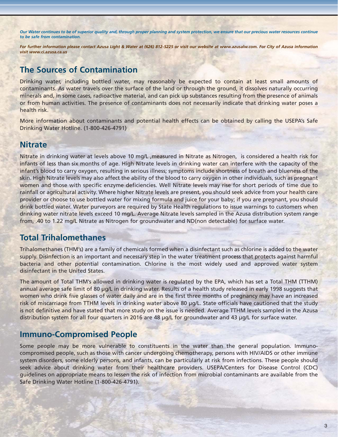*Our Water continues to be of superior quality and, through proper planning and system protection, we ensure that our precious water resources continue to be safe from contamination.*

*For further information please contact Azusa Light & Water at (626) 812-5225 or visit our website at www.azusalw.com. For City of Azusa information visit www.ci.azusa.ca.us*

# **The Sources of Contamination**

Drinking water, including bottled water, may reasonably be expected to contain at least small amounts of contaminants. As water travels over the surface of the land or through the ground, it dissolves naturally occurring minerals and, in some cases, radioactive material, and can pick up substances resulting from the presence of animals or from human activities. The presence of contaminants does not necessarily indicate that drinking water poses a health risk.

More information about contaminants and potential health effects can be obtained by calling the USEPA's Safe Drinking Water Hotline. (1-800-426-4791)

#### **Nitrate**

Nitrate in drinking water at levels above 10 mg/L ,measured in Nitrate as Nitrogen, is considered a health risk for infants of less than six months of age. High Nitrate levels in drinking water can interfere with the capacity of the infant's blood to carry oxygen, resulting in serious illness; symptoms include shortness of breath and blueness of the skin. High Nitrate levels may also affect the ability of the blood to carry oxygen in other individuals, such as pregnant women and those with specific enzyme deficiencies. Well Nitrate levels may rise for short periods of time due to rainfall or agricultural activity. Where higher Nitrate levels are present, you should seek advice from your health care provider or choose to use bottled water for mixing formula and juice for your baby; if you are pregnant, you should drink bottled water. Water purveyors are required by State Health regulations to issue warnings to customers when drinking water nitrate levels exceed 10 mg/L. Average Nitrate levels sampled in the Azusa distribution system range from, .40 to 1.22 mg/L Nitrate as Nitrogen for groundwater and ND(non detectable) for surface water.

### **Total Trihalomethanes**

Trihalomethanes (THM's) are a family of chemicals formed when a disinfectant such as chlorine is added to the water supply. Disinfection is an important and necessary step in the water treatment process that protects against harmful bacteria and other potential contamination. Chlorine is the most widely used and approved water system disinfectant in the United States.

The amount of Total THM's allowed in drinking water is regulated by the EPA, which has set a Total THM (TTHM) annual average safe limit of 80 µg/L in drinking water. Results of a health study released in early 1998 suggests that women who drink five glasses of water daily and are in the first three months of pregnancy may have an increased risk of miscarriage from TTHM levels in drinking water above 80 µg/L. State officials have cautioned that the study is not definitive and have stated that more study on the issue is needed. Average TTHM levels sampled in the Azusa distribution system for all four quarters in 2016 are 48 µg/L for groundwater and 43 µg/L for surface water.

### **Immuno-Compromised People**

Some people may be more vulnerable to constituents in the water than the general population. Immunocompromised people, such as those with cancer undergoing chemotherapy, persons with HIV/AIDS or other immune system disorders, some elderly persons, and infants, can be particularly at risk from infections. These people should seek advice about drinking water from their healthcare providers. USEPA/Centers for Disease Control (CDC) guidelines on appropriate means to lessen the risk of infection from microbial contaminants are available from the Safe Drinking Water Hotline (1-800-426-4791).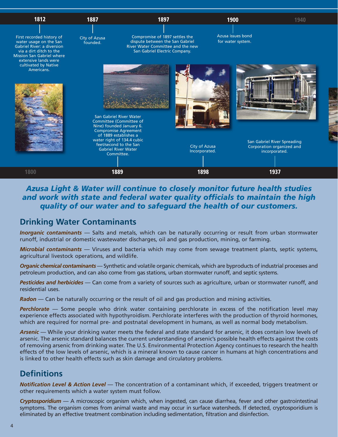

#### *Azusa Light & Water will continue to closely monitor future health studies and work with state and federal water quality officials to maintain the high quality of our water and to safeguard the health of our customers.*

## **Drinking Water Contaminants**

*Inorganic contaminants* — Salts and metals, which can be naturally occurring or result from urban stormwater runoff, industrial or domestic wastewater discharges, oil and gas production, mining, or farming.

*Microbial contaminants* — Viruses and bacteria which may come from sewage treatment plants, septic systems, agricultural livestock operations, and wildlife.

*Organic chemical contaminants* — Synthetic and volatile organic chemicals, which are byproducts of industrial processes and petroleum production, and can also come from gas stations, urban stormwater runoff, and septic systems.

*Pesticides and herbicides* — Can come from a variety of sources such as agriculture, urban or stormwater runoff, and residential uses.

*Radon* — Can be naturally occurring or the result of oil and gas production and mining activities.

**Perchlorate** — Some people who drink water containing perchlorate in excess of the notification level may experience effects associated with hypothyroidism. Perchlorate interferes with the production of thyroid hormones, which are required for normal pre- and postnatal development in humans, as well as normal body metabolism.

*Arsenic* — While your drinking water meets the federal and state standard for arsenic, it does contain low levels of arsenic. The arsenic standard balances the current understanding of arsenic's possible health effects against the costs of removing arsenic from drinking water. The U.S. Environmental Protection Agency continues to research the health effects of the low levels of arsenic, which is a mineral known to cause cancer in humans at high concentrations and is linked to other health effects such as skin damage and circulatory problems.

# **Definitions**

*Notification Level & Action Level* — The concentration of a contaminant which, if exceeded, triggers treatment or other requirements which a water system must follow.

*Cryptosporidium* — A microscopic organism which, when ingested, can cause diarrhea, fever and other gastrointestinal symptoms. The organism comes from animal waste and may occur in surface watersheds. If detected, cryptosporidium is eliminated by an effective treatment combination including sedimentation, filtration and disinfection.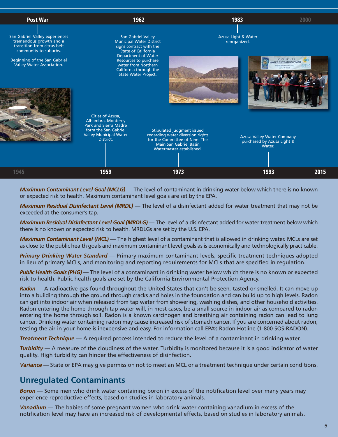

*Maximum Contaminant Level Goal (MCLG)* — The level of contaminant in drinking water below which there is no known or expected risk to health. Maximum contaminant level goals are set by the EPA.

*Maximum Residual Disinfectant Level (MRDL)* — The level of a disinfectant added for water treatment that may not be exceeded at the consumer's tap.

*Maximum Residual Disinfectant Level Goal (MRDLG)* — The level of a disinfectant added for water treatment below which there is no known or expected risk to health. MRDLGs are set by the U.S. EPA.

*Maximum Contaminant Level (MCL)* — The highest level of a contaminant that is allowed in drinking water. MCLs are set as close to the public health goals and maximum contaminant level goals as is economically and technologically practicable.

*Primary Drinking Water Standard* — Primary maximum contaminant levels, specific treatment techniques adopted in lieu of primary MCLs, and monitoring and reporting requirements for MCLs that are specified in regulation.

*Public Health Goals (PHG)* — The level of a contaminant in drinking water below which there is no known or expected risk to health. Public health goals are set by the California Environmental Protection Agency.

*Radon* — A radioactive gas found throughout the United States that can't be seen, tasted or smelled. It can move up into a building through the ground through cracks and holes in the foundation and can build up to high levels. Radon can get into indoor air when released from tap water from showering, washing dishes, and other household activities. Radon entering the home through tap water will, in most cases, be a small source in indoor air as compared to radon entering the home through soil. Radon is a known carcinogen and breathing air containing radon can lead to lung cancer. Drinking water containing radon may cause increased risk of stomach cancer. If you are concerned about radon, testing the air in your home is inexpensive and easy. For information call EPA's Radon Hotline (1-800-SOS-RADON).

*Treatment Technique* — A required process intended to reduce the level of a contaminant in drinking water.

*Turbidity* — A measure of the cloudiness of the water. Turbidity is monitored because it is a good indicator of water quality. High turbidity can hinder the effectiveness of disinfection.

*Variance* — State or EPA may give permission not to meet an MCL or a treatment technique under certain conditions.

### **Unregulated Contaminants**

*Boron* — Some men who drink water containing boron in excess of the notification level over many years may experience reproductive effects, based on studies in laboratory animals.

*Vanadium* — The babies of some pregnant women who drink water containing vanadium in excess of the notification level may have an increased risk of developmental effects, based on studies in laboratory animals.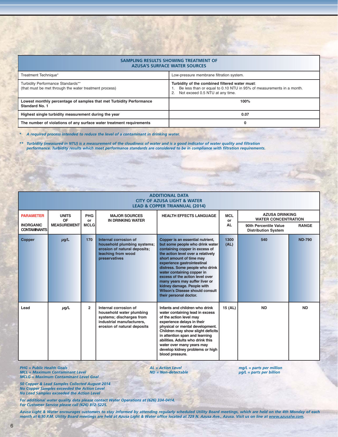| SAMPLING RESULTS SHOWING TREATMENT OF<br><b>AZUSA'S SURFACE WATER SOURCES</b>               |                                                                                                                                                           |  |  |  |  |  |  |
|---------------------------------------------------------------------------------------------|-----------------------------------------------------------------------------------------------------------------------------------------------------------|--|--|--|--|--|--|
| Treatment Technique*                                                                        | Low-pressure membrane filtration system.                                                                                                                  |  |  |  |  |  |  |
| Turbidity Performance Standards**<br>(that must be met through the water treatment process) | Turbidity of the combined filtered water must:<br>Be less than or equal to 0.10 NTU in 95% of measurements in a month.<br>Not exceed 0.5 NTU at any time. |  |  |  |  |  |  |
| Lowest monthly percentage of samples that met Turbidity Performance<br>Standard No. 1       | 100%                                                                                                                                                      |  |  |  |  |  |  |
| Highest single turbidity measurement during the year                                        | 0.07                                                                                                                                                      |  |  |  |  |  |  |
| The number of violations of any surface water treatment requirements                        | 0                                                                                                                                                         |  |  |  |  |  |  |

*\* A required process intended to reduce the level of a contaminant in drinking water.*

*\*\* Turbidity (measured in NTU) is a measurement of the cloudiness of water and is a good indicator of water quality and filtration performance. Turbidity results which meet performance standards are considered to be in compliance with filtration requirements.*

| <b>ADDITIONAL DATA</b><br><b>CITY OF AZUSA LIGHT &amp; WATER</b><br><b>LEAD &amp; COPPER TRIANNUAL (2014)</b> |                    |                  |                                                                                                                                           |                                                                                                                                                                                                                                                                                                                                                                                                                                                |                  |                                                     |               |  |  |
|---------------------------------------------------------------------------------------------------------------|--------------------|------------------|-------------------------------------------------------------------------------------------------------------------------------------------|------------------------------------------------------------------------------------------------------------------------------------------------------------------------------------------------------------------------------------------------------------------------------------------------------------------------------------------------------------------------------------------------------------------------------------------------|------------------|-----------------------------------------------------|---------------|--|--|
| <b>PARAMETER</b>                                                                                              | <b>UNITS</b><br>OF | <b>PHG</b><br>or | <b>MAJOR SOURCES</b><br><b>IN DRINKING WATER</b>                                                                                          | <b>HEALTH EFFECTS LANGUAGE</b>                                                                                                                                                                                                                                                                                                                                                                                                                 | <b>MCL</b><br>or | <b>AZUSA DRINKING</b><br><b>WATER CONCENTRATION</b> |               |  |  |
| <b>INORGANIC</b><br><b>CONTAMINANTS</b>                                                                       | <b>MEASUREMENT</b> | <b>MCLG</b>      |                                                                                                                                           |                                                                                                                                                                                                                                                                                                                                                                                                                                                | <b>AL</b>        | 90th Percentile Value<br><b>Distribution System</b> | <b>RANGE</b>  |  |  |
| <b>Copper</b>                                                                                                 | $\mu$ g/L          | 170              | Internal corrosion of<br>household plumbing systems;<br>erosion of natural deposits;<br>leaching from wood<br>preservatives               | Copper is an essential nutrient,<br>but some people who drink water<br>containing copper in excess of<br>the action level over a relatively<br>short amount of time may<br>experience gastrointestinal<br>distress. Some people who drink<br>water containing copper in<br>excess of the action level over<br>many years may suffer liver or<br>kidney damage. People with<br><b>Wilson's Disease should consult</b><br>their personal doctor. | 1300<br>(AL)     | 540                                                 | <b>ND-790</b> |  |  |
| Lead                                                                                                          | $\mu$ g/L          | $\overline{2}$   | Internal corrosion of<br>household water plumbing<br>systems; discharges from<br>industrial manufacturers,<br>erosion of natural deposits | Infants and children who drink<br>water containing lead in excess<br>of the action level may<br>experience delays in their<br>physical or mental development.<br>Children may show slight deficits<br>in attention span and learning<br>abilities. Adults who drink this<br>water over many years may<br>develop kidney problems or high<br>blood pressure.                                                                                    | 15 (AL)          | <b>ND</b>                                           | <b>ND</b>     |  |  |

*MCL = Maximum Contaminant Level MCLG = Maximum Contaminant Level Goal*

*PHG = Public Health Goals AL = Action Level mg/L = parts per million*

*50 Copper & Lead Samples Collected August 2014 No Copper Samples exceeded the Action Level No Lead Samples exceeded the Action Level*

*For additional water quality data please contact Water Operations at (626) 334-0414. For Customer Service please call (626) 812-5225.*

*Azusa Light & Water encourages customers to stay informed by attending regularly scheduled Utility Board meetings, which are held on the 4th Monday of each month at 6:30 P.M. Utility Board meetings are held at Azusa Light & Water office located at 729 N. Azusa Ave., Azusa. Visit us on line at www.azusalw.com.*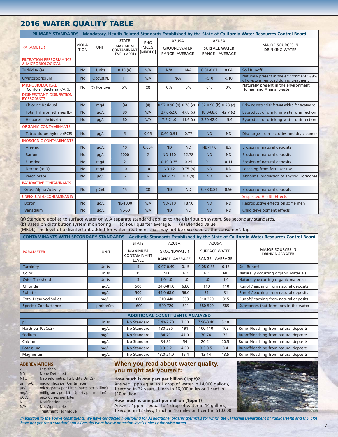#### **2016 WATER QUALITY TABLE**

| PRIMARY STANDARDS-Mandatory, Health-Related Standards Established by the State of California Water Resources Control Board |                             |             |                                                               |                          |                                                                                                              |            |                              |                                                  |                                                                                    |
|----------------------------------------------------------------------------------------------------------------------------|-----------------------------|-------------|---------------------------------------------------------------|--------------------------|--------------------------------------------------------------------------------------------------------------|------------|------------------------------|--------------------------------------------------|------------------------------------------------------------------------------------|
| <b>PARAMETER</b>                                                                                                           | <b>VIOLA</b><br><b>TION</b> | <b>UNIT</b> | <b>STATE</b><br><b>MAXIMUM</b><br>CONTAMINANT<br>LEVEL (MRDL) | PHG<br>(MCLG)<br>[MRDLG] | <b>AZUSA</b><br><b>AZUSA</b><br><b>GROUNDWATER</b><br><b>SURFACE WATER</b><br>RANGE AVERAGE<br>RANGE AVERAGE |            |                              | <b>MAJOR SOURCES IN</b><br><b>DRINKING WATER</b> |                                                                                    |
| <b>FILTRATION PERFORMANCE</b><br>& MICROBIOLOGICAL                                                                         |                             |             |                                                               |                          |                                                                                                              |            |                              |                                                  |                                                                                    |
| Turbidity (a)                                                                                                              | <b>No</b>                   | Units       | 0.10(a)                                                       | N/A                      | N/A                                                                                                          | N/A        | $0.01 - 0.07$                | 0.04                                             | Soil Runoff                                                                        |
| Cryptosporidium                                                                                                            | <b>No</b>                   | Oocysts/L   | <b>TT</b>                                                     | N/A                      | N/A                                                                                                          |            | $-.10$                       | $-.10$                                           | Naturally present in the environment >99%<br>of crypto is removed during treatment |
| <b>MICROBIOLOGICAL</b><br>Coliform Bacteria P/A (b)                                                                        | No                          | % Positive  | 5%                                                            | (0)                      | 0%                                                                                                           | 0%         | 0%                           | 0%                                               | Naturally present in the environment<br>Human and Animal waste                     |
| <b>DISINFECTANT, DISINFECTION</b><br><b>BY PRODUCTS</b>                                                                    |                             |             |                                                               |                          |                                                                                                              |            |                              |                                                  |                                                                                    |
| <b>Chlorine Residual</b>                                                                                                   | <b>No</b>                   | mg/L        | (4)                                                           | (4)                      | $0.57 - 0.96$ (b) $0.78$ (c)                                                                                 |            | $0.57 - 0.96$ (b) $0.78$ (c) |                                                  | Drinking water disinfectant added for treatment                                    |
| Total Trihalomethanes (b)                                                                                                  | <b>No</b>                   | $\mu$ g/L   | 80                                                            | N/A                      | $27.0 - 62.0$ 47.8 (c)                                                                                       |            | 18.0-68.0                    | 42.7 $(c)$                                       | Byproduct of drinking water disinfection                                           |
| Haloacetic Acids (b)                                                                                                       | <b>No</b>                   | $\mu q/L$   | 60                                                            | N/A                      | $7.2 - 21.0$                                                                                                 | 11.6 $(c)$ | $3.20 - 42.0$                | 15.4                                             | Byproduct of drinking water disinfection                                           |
| <b>ORGANIC CONTAMINANTS</b>                                                                                                |                             |             |                                                               |                          |                                                                                                              |            |                              |                                                  |                                                                                    |
| Tetrachloroethylene (PCE)                                                                                                  | <b>No</b>                   | $\mu$ g/L   | 5 <sup>1</sup>                                                | 0.06                     | $0.60 - 0.91$                                                                                                | 0.77       | <b>ND</b>                    | <b>ND</b>                                        | Discharge from factories and dry cleaners                                          |
| <b>INORGANIC CONTAMINANTS</b>                                                                                              |                             |             |                                                               |                          |                                                                                                              |            |                              |                                                  |                                                                                    |
| Arsenic                                                                                                                    | <b>No</b>                   | $\mu$ g/L   | 10 <sup>1</sup>                                               | 0.004                    | <b>ND</b>                                                                                                    | <b>ND</b>  | <b>ND-17.0</b>               | 8.5                                              | Erosion of natural deposits                                                        |
| <b>Barium</b>                                                                                                              | <b>No</b>                   | $\mu$ g/L   | 1000                                                          | $\overline{2}$           | <b>ND-110</b>                                                                                                | 12.78      | <b>ND</b>                    | <b>ND</b>                                        | Erosion of natural deposits                                                        |
| Fluoride                                                                                                                   | <b>No</b>                   | mg/L        | $\overline{2}$                                                | $\mathbf{1}$             | $0.19 - 0.35$                                                                                                | 0.25       | 0.11                         | 0.11                                             | Erosion of natural deposits                                                        |
| Nitrate (as N)                                                                                                             | <b>No</b>                   | mg/L        | 10                                                            | 10                       | <b>ND-12</b>                                                                                                 | 0.75(b)    | <b>ND</b>                    | <b>ND</b>                                        | Leaching from fertilizer use                                                       |
| Perchlorate                                                                                                                | <b>No</b>                   | $\mu$ g/L   | 6                                                             | 6                        | <b>ND-12.0</b>                                                                                               | $ND$ $(d)$ | <b>ND</b>                    | <b>ND</b>                                        | Abnormal production of Thyroid Hormones                                            |
| <b>RADIOACTIVE CONTAMINANTS</b>                                                                                            |                             |             |                                                               |                          |                                                                                                              |            |                              |                                                  |                                                                                    |
| <b>Gross Alpha Activity</b>                                                                                                | <b>No</b>                   | pCi/L       | 15                                                            | (0)                      | <b>ND</b>                                                                                                    | <b>ND</b>  | $0.28 - 0.84$                | 0.56                                             | Erosion of natural deposits                                                        |
| <b>UNREGULATED CONTAMINANTS</b>                                                                                            |                             |             |                                                               |                          |                                                                                                              |            |                              |                                                  | <b>Suspected Health Effects</b>                                                    |
| <b>Boron</b>                                                                                                               | <b>No</b>                   | $\mu$ g/L   | <b>NL-1000</b>                                                | N/A                      | <b>ND-310</b>                                                                                                | 187.0      | <b>ND</b>                    | <b>ND</b>                                        | Reproductive effects on some men                                                   |
| Vanadium                                                                                                                   | <b>No</b>                   | $\mu q/L$   | <b>NL-50</b>                                                  | N/A                      | <b>ND</b>                                                                                                    | <b>ND</b>  | <b>ND</b>                    | <b>ND</b>                                        | Child development effects                                                          |

**(a)** Standard applies to surface water only. A separate standard applies to the distribution system. See secondary standards. **(b)** Based on distribution system monitoring. **(c)** Four quarter average. **(d)** Blended value.

(MRDL) The level of a disinfectant added for water treatment that may not be exceeded at the consumer's tap.

| CONTAMINANTS WITH SECONDARY STANDARDS-Aesthetic Standards Established by the State of California Water Resources Control Board |              |                                    |                    |           |                      |                                              |                                                  |  |  |
|--------------------------------------------------------------------------------------------------------------------------------|--------------|------------------------------------|--------------------|-----------|----------------------|----------------------------------------------|--------------------------------------------------|--|--|
|                                                                                                                                |              | <b>STATE</b>                       | <b>AZUSA</b>       |           | AZUSA                |                                              |                                                  |  |  |
| <b>PARAMETER</b>                                                                                                               | <b>UNIT</b>  | MAXIMUM                            | <b>GROUNDWATER</b> |           | <b>SURFACE WATER</b> |                                              | <b>MAJOR SOURCES IN</b><br><b>DRINKING WATER</b> |  |  |
|                                                                                                                                |              | <b>CONTAMINANT</b><br><b>LEVEL</b> | RANGE AVERAGE      |           | AVERAGE<br>RANGE     |                                              |                                                  |  |  |
| Turbidity                                                                                                                      | <b>Units</b> |                                    | $0.07 - 0.49$      | 0.15      | $0.08 - 0.36$        | 0.13                                         | Soil Runoff                                      |  |  |
| Color                                                                                                                          | Units        | 15                                 | <b>ND</b>          | <b>ND</b> | <b>ND</b>            | <b>ND</b>                                    | Naturally occurring organic materials            |  |  |
| Odor Threshold                                                                                                                 | <b>Units</b> | 3                                  | $1.0 - 1.0$        | 1.0       | 1.0                  | 1.0                                          | Naturally occurring organic materials            |  |  |
| Chloride                                                                                                                       | mg/L         | 500                                | 24.0-81.0          | 63.0      | 110<br>110           |                                              | Runoff/leaching from natural deposits            |  |  |
| Sulfate                                                                                                                        | mg/L         | 500                                | 44.0-68.0          | 56.0      | 31                   | 31                                           | Runoff/leaching from natural deposits            |  |  |
| <b>Total Dissolved Solids</b>                                                                                                  | mg/L         | 1000                               | 310-440            | 353       | 310-320              | Runoff/leaching from natural deposits<br>315 |                                                  |  |  |
| <b>Specific Conductance</b>                                                                                                    | umho/Cm      | 1600                               | 540-720            | 591       | 580-590              | 585                                          | Substances that form jons in the water           |  |  |

| <b>ADDITIONAL CONSTITUENTS ANALYZED</b> |              |             |             |      |             |      |                                       |  |
|-----------------------------------------|--------------|-------------|-------------|------|-------------|------|---------------------------------------|--|
| pH                                      | <b>Units</b> | No Standard | 7.40-7.70   | 7.60 | 7.90-8.40   | 8.10 |                                       |  |
| Hardness (CaCo3)                        | mg/L         | No Standard | 130-290     | 191  | 100-110     | 105  | Runoff/leaching from natural deposits |  |
| Sodium                                  | mg/L         | No Standard | 34-70       | 47.0 | 70-74       | 72   | Runoff/leaching from natural deposits |  |
| Calcium                                 | mg/L         | No Standard | 34-82       | 54   | $20 - 21$   | 20.5 | Runoff/leaching from natural deposits |  |
| Potassium                               | mg/L         | No Standard | $3.3 - 5.2$ | 4.03 | $3.3 - 3.5$ | 3.4  | Runoff/leaching from natural deposits |  |
| Magnesium                               | mg/L         | No Standard | 13.0-21.0   | 15.4 | $13 - 14$   | 13.5 | Runoff/leaching from natural deposits |  |

#### **ABBREVIATIONS**

| $\overline{a}$ | Less than                                |
|----------------|------------------------------------------|
| <b>ND</b>      | <b>None Detected</b>                     |
| <b>NTU</b>     | Nephelometric Turbidity Unit(s)          |
| umho/Cm        | micromhos per Centimeter                 |
| $\mu$ g/L      | micrograms per Liter (parts per billion) |
| mg/L           | milligrams per Liter (parts per million) |
| pCi/L          | pico Curies per Liter                    |
| <b>NL</b>      | <b>Notification Level</b>                |
| N/A            | <b>Not Applicable</b>                    |
| <b>TT</b>      | <b>Treatment Technique</b>               |

#### **When you read about water quality, you might ask yourself:**

**How much is one part per billion (1ppb)?** Answer: 1ppb equal to 1 drop of water in 14,000 gallons, 1 second in 32 years, 1 inch in 16,000 miles or 1 cent in \$10 million.

**How much is one part per million (1ppm)?** Answer: 1ppm is equal to 1 drop of water in 14 gallons, 1 second in 12 days, 1 inch in 16 miles or 1 cent in \$10,000.



*In addition to the above constituents, we have conducted monitoring for 32 additional organic chemicals for which the California Department of Public Health and U.S. EPA have not yet set a standard and all results were below detection levels unless otherwise noted.*